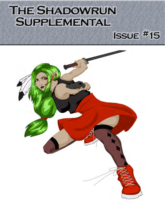# THE SHADOWRUN **SUPPLEMENTAL**



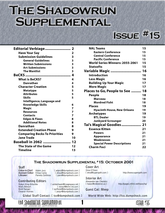# **THE SHADOWRUN SUPPLEMENTAL**

## **ISSUE #15**

| Editorial Verbiage 2                 |    |
|--------------------------------------|----|
| <b>Have Your Say</b>                 | 2  |
| <b>Submission Guidelines</b>         | 3  |
| <b>General Guidelines</b>            | 3  |
| <b>Written Submissions</b>           | 3  |
| <b>Art Submissions</b>               | 3  |
| <b>The Wantlist</b>                  | 3  |
|                                      | 4  |
| <b>What is BeCKS?</b>                | 4  |
| Danrathan                            | 4  |
| <b>Character Creation</b>            | 5  |
| <b>Metatype</b>                      | 5  |
| <b>Attributes</b>                    | 5  |
| <b>Skills</b>                        | 5  |
| Intelligence, Language and           |    |
| <b>Knowledge Skills</b>              | 6  |
| Magic                                | 7  |
| <b>Resources</b>                     | 7  |
| Contacts                             | 7  |
| <b>Edges &amp; Flaws</b>             | 8  |
| <b>Additional Notes</b>              | 8  |
| <b>Danrathan</b>                     | 8  |
| <b>Extended Creation Phase</b>       | 9  |
| <b>Comparing Becks To Priorities</b> | 9  |
| <b>Jane Trade</b>                    | 10 |
| Baseball in 2062  12                 |    |
| The State of the Game                | 12 |
| Timeline                             | 13 |
|                                      |    |

| <b>NAL Teams</b>                    | 15 |
|-------------------------------------|----|
| <b>Eastern Conference</b>           | 15 |
| <b>Central Conference</b>           | 15 |
| <b>Pacific Conference</b>           | 15 |
| World Series Winners: 2055-2061     | 15 |
| <b>Statsofts</b>                    | 15 |
| Variable Magic                      | 16 |
| <b>Introduction</b>                 | 16 |
| <b>Less Magic</b>                   | 16 |
| <b>Building Up Your Magic</b>       | 17 |
| <b>More Magic</b>                   | 17 |
| Places to Go, People to See ………. 18 |    |
| People                              | 18 |
| Marceau                             | 18 |
| <b>Mordred Fisht</b>                | 18 |
| <b>Places</b>                       | 19 |
| <b>Hyacinth House, New Orleans</b>  | 19 |
| <b>Archetypes</b>                   | 19 |
| <b>BTL Dealer</b>                   | 19 |
| <b>Junkyard Scrounger</b>           | 20 |
| Tai's Magical Goodies………………… 21     |    |
| <b>Essence Kitten</b>               | 21 |
| <b>Powers</b>                       | 21 |
| Appearance                          | 21 |
| Weaknesses                          | 21 |
| <b>Special Power Descriptions</b>   | 21 |
| <b>Charm Foci</b>                   | 22 |
|                                     |    |

## **The Shadowrun Supplemental #15: October 2001**

## **Staff**

**Editor-in-Chief:** Adam Jury [ [adamj@dumpshock.com](mailto:adamj@dumpshock.com) ] Assistant Editor: Elissa Carey [ [elissa@dumpshock.com](mailto:elissa@dumpshock.com) ] **Assistant Editor:** Elissa Carey [ elissa@dumpshock.com ]<br>**Lifesaver:** Pamela Zerbinos [ [pam@dumpshock.com](mailto:pam@dumpshock.com) ]

## **Contributing Editors**

Robyn King-Nitschke **[ winterhawk@magespace.net ]**<br>Marc Renouf: [ manuf | marc Renoute | Marc Renoute | Marc Renoute | manuf | manuf | manuf | manuf | manuf | ma Marc Renouf: [ renouf@erim-int.com ]<br>Brett Sanger: [ Swiftone@dumpshock.com ] [ swiftone@dumpshock.com ] Eleanor Holmes **Eleanor** E jestyr@dumpshock.com ]

### **Cover Art** Drea O'Dare:

[ drea@supergoth.com ] [http://www.supergoth.com](http://www.supergoth.com/)

**Interior Art** Alexandre van Chestein:<br>
[ havoc@videotron.ca ]

**Guest Cat: Meep**

**Global Staff Contact: [ [tss@dumpshock.com](mailto:tss@dumpshock.com) ] World Wide Web:<http://tss.dumpshock.com>**



http://pages.infinit.net/havochq/

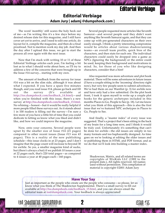## **Editorial Verbiage [Adam Jury \[ adamj @dumpshock.com \]](mailto:adamj@dumpshock.com)**

<span id="page-2-0"></span>The word 'monthly' still scares the holy heck out of me $-\text{as } I'$ m writing this it's a few days before my desired release date for this magazine, and I still have cover art yet to arrive, and I need to edit one article, do layout for it, compile the magazine, and then do a final proofread. Not to mention work my day job. And then the day after I upload this issue, we get to start the process all over again with the next issue.

Now that I'm stuck with writing 10 or 11 of these Editorial Verbiage articles each year, I'm feeling a bit lost as to what I should write about here, so I'll try to address a few of the concerns that were brought up in the Issue #14 survey... starting with my own.

The amount of feedback from the survey for issue #14 was a bit on the slim side, although it was about what I expected. If you have a spare five minutes though, and you read issue #14, please go back and fill out the survey (It's available at [http://tss.dumpshock.com/feedback\\_14.html](http://tss.dumpshock.com/feedback_14.html)) – and when you're finished with this issue, there's a new survey at [http://tss.dumpshock.com/feedback\\_15.html](http://tss.dumpshock.com/feedback_15.html). No whining - honest - but it would be really helpful if more people filled these surveys out. As it stands about 1 in 100 readers is filling out the survey $-I'm$  sure a few more of you have a little bit of time that you could dedicate to letting us know what you liked and didn't like, and how we could improve the magazine.

Now, onto your concerns. Several people were upset by the smaller size of Issue #14 (21 pages) compared to other recent issues (Issue #13 was 43 pages). This is a reality of the new publishing schedule – this issue clocks in at 23 pages, and I don't imagine that the page count will increase to beyond 30 for awhile. So yes, a smaller magazine kind of sucks, but (there's always a but) if we publish 10 issues a year at 22 pages each, that's 220 total pages-as compared to 4 issues a year at 40 pages each $-160$  pages.

Several people requested more articles like Seventh Samurai-and several people said they didn't want anything like Seventh Samurai again, and that they can come up with pre-generated characters on their own easily enough. I think a pretty interesting compromise would be articles about various shadowrunning teams-an overall team profile, quick bios of the characters, and then stats for each one. The individual characters could easily be dropped into a game as NPCs (Ignoring the background) or the entire could be used, keeping their background and motivations in mind. So, for those of you who like designing characters, consider that a hint!

Also requested was more adventure and plot hook material. There will be some adventures in future issues (I have a couple sitting in the 'incoming' directory right now), but very few people seem to submit adventures. We've had them on our Wantlist (p. 3) for awhile now and have only had a few submitted. On the plot hook front, I took it upon myself to write up a couple plot hooks for the generic archetypes included in this months Places to Go, People to See (p. 18). Let me know what you think of this approach—this is also the first issue that we've featured NPC archetypes in Places to Go, People to See.

And finally, a "master index" of every issue was suggested. That's a project that's been sitting in the back of my brain for a long time now, and I think it would be truly cool. Unfortunately it's something that can't be done for awhile—the old issues are simply in too many formats and too haphazardly designed. As time goes on we're looking at editing the older issues and re-publishing them in HTML and PDF format, and as we do that we'll look into building a master index.

Shadowrun, Matrix, and all related terms are copyrights of WizKids LLC (1989 to the present date.), All rights reserved. All names used without permission. This compilation of material is copyright ©2001 Adam Jury

|<br>|Sula #15<br>|

## **Have Your Say**

Just as important as the people who create are the people who consume – so please, let us know what you think of The Shadowrun Supplemental. Thereís a small survey to fill out available at [http://tss.dumpshock.com/feedback\\_15.html,](http://tss.dumpshock.com/feedback_15.html) and you can always email the editorial team at [tss@dumpshock.com](mailto:tss@dumpshock.com). Your feedback is always appreciated!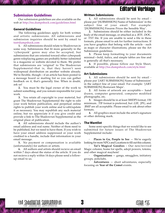Editorial Verbiage

## <span id="page-3-0"></span>**Submission Guidelines**

Our submission guidelines are also available on the web at <http://tss.dumpshock.com/guidelines.html>

### **General Guidelines**

The following guidelines apply for both written and artistic submissions. All submissions and submission inquiries should be sent by email to [tss@dumpshock.com](mailto:tss@dumpshock.com)

**1.** All submissions should relate to Shadowrun in some way. Submissions that fit more generally in the ʻcyberpunk′ genre may also be accepted, but submissions that are oriented toward other cyberpunk genre roleplaying games are probably better submitted to a magazine or website devoted to them. We prefer that submissions are 'original' to The Shadowrun Supplemental-that is, that they haven't seen widespread distribution on another website already. We're flexible, though—if an article has been posted to a message board or mailing list so you can gather feedback on it, thatís generally fine. When in doubt, ask us!

**2.** You must be the legal owner of the work to submit something, and you remain responsible for your work.

**3.** You retain all copyright to your material, but grant The Shadowrun Supplemental the right to edit your work before publication, and perpetual online rights to publish your work online and to edit/update it as necessary. You may republish any such material online, but we appreciate it if you give credit and provide a link to The Shadowrun Supplemental as the original place of publication.

4. All submissions should include the author's email address and real name. Neither of them need to be published, but we need to have them. If you wish to have your email address suppressed or your work credited to a handle, include that information in your email message.

**5.** No payment or compensation is available (unfortunately) for authors or artists.

**6.** All authors and artists should recieve an email within 7 days about the status of the article. If you do not recieve a reply within 14 days please send a followup email to us.

## **Written Submissions**

**1.** All submissions should be sent by email please put '[SUBMISSION] Name of Submission' in the subject line of your email. For example: '[SUBMISSION] Firearm Prices the Sensible Way'.

**2.** Submissions should be either included in the body of the email message, or attached as a .RTF, .DOC, or .TXT file. If you are unable to send a file in these formats, please email to ask for further instructions. If you have graphics that belong with the article - such as maps or character illustrations, please see the Art Submission guidelines.

**3.** Please keep formatting to your documents minimal-bold, italics, and simple tables are fine and is generally all that's necessary.

**4.** If possible, please follow our Style Sheet, available at <http://tss.dumpshock.com/style.html>

#### **Art Submissions**

**1.** All submissions should be sent by email please put '[ART SUBMISSION] Name of Submission' in the subject line of your email. For example: '[ART SUBMISSION] Resturant Maps'.

**2.** All forms of artwork are acceptable - hand drawn, computer generated, computer modified photographs, etc.

**3.** Images should be in at least 300DPI format, 150 minimum. .TIF format is preferred, but .GIF, .JPG, and .BMP are all acceptable. Please email to ask about other formats.

**4.** All graphics must include the artist's signature or other defining mark.

#### **The Wantlist**

Some semi-specific things that we would like to see submitted for future issues of The Shadowrun Supplemental include:

**Places to Go, People to See** – We're eagerly looking for more NPCs and Locations to fill out this column.

**Tai's Magical Goodies - Our new/revived** Magic column, home for spells, adept powers, totems, and other magical mayhem!

**Organizations** — gangs, smugglers, initiatory groups, policlubs.

 $\bf{Adventures}$   $-$  short adventures, especially focusing on **Year of the Comet** events.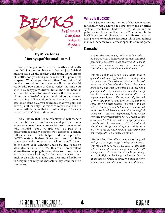<span id="page-4-0"></span>BECK Bethyaga's<br>Complete<br>Karma<br>System

## **by Mike Jones [ bethyaga@hotmail.com ]**

You pride yourself on your creative and wellrounded Shadowrun characters. You've just finished making Jack Bull, the baddest Ork Sammy on the streets of Seattle, and you find you have two skill points left to spend. What do you do with them? You think that maybe to round out the character a little, you should really take two points of Car to reflect the time you spent as a bodyguard/driver. But on the other hand, it sure would be nice to raise Assault Rifles from 4 to 6. Hmm... what to do? Do you round out your character with driving skill even though you know that after one session of game play, you could buy that two points of driving skill for only 4 karma? Or do you max out the combat skill knowing that it would cost you 16 karma to do that later? Such a dilemma.

We all know that "good roleplayers" will eschew the temptations of min/max-ing and put the points wherever makes the most sense for the character-but why should "good roleplayers" be put at a disadvantage simply because they designed a richer, fuller character? BeCKS helps avoid that trap. In the BeCKS system, it doesn't matter if you buy it in character creation or purchase it later, it will always be the same cost, whether you're buying spells or attributes or skills. For GMs, this can be an excellent alternative for helping those number-crunching players who are always looking for the most bang for their buck. It also allows players and GMs more flexibility in designing exactly the characters they want for their campaign.

## **What is BeCKS?**

BeCKS is an alternate method of character creation for Shadowrun designed to supplement the priorities system presented in Shadowrun 3rd Edition and the point system from the Shadowrun Companion. In the BeCKS system, all characters are built from scratch using karma to purchase attributes, skills and abilities in much the same way karma is spent later in the game.

## **Danrathan**

*As our primary example, weíll create Danrathan, a shaman. Now, I believe that the most essential part of any character is the background, so weíll sketch out a basic history and concept for Danrathan before we do any actual work.*

*Danrathan is an elf born in a mountain village of what used to be Afghanistan. His village was (is) primarily Caucasian*—*claiming to be lost ancestors of Alexander the Great. Like many areas of the mid-east, Danrathanís village has a powerful hatred of metahumans, and at an early age, his parents had him surgically altered to appear more human. Danrathan only learned later in life that he was born an elf, but it is something he still refuses to accept, and he believes himself to now be human. He was called to Vulture in adolescence, and with his magical talent and ìWesternî appearance, he was soon recruited by a government agency for clandestine operations (weíll leave that part vague for now). Eventually, he became disillusioned and abandoned his former allegiance while on a mission in the UCAS. Now he is discovering just how rough life in the shadows can be.*

*Like his totem, Danrathan can be sharp-tongued and quick to anger. Despite being metahuman, Danrathan is very racist. He tries to hide that behind his professional image, but it doesnít always work. He is short and stocky for an elf, but still slightly slender for a human. Due to numerous surgeries, he appears almost entirely human, and certainly passes himself off as one.*

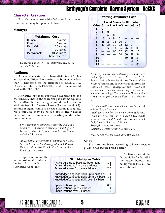## <span id="page-5-0"></span>**Character Creation**

Each character starts with 450 karma for character creation that may be spent as follows:

## **Metatype**

| <b>Metahuma Cost</b> |                |
|----------------------|----------------|
| Human                | 0 karma        |
| <b>Dwarf</b>         | 10 karma       |
| Elf or Ork           | 20 karma       |
| Troll                | 30 karma       |
| <b>Metavariants</b>  | $+10$ karma to |
|                      | base race cost |

*Danrathan is an elf (no metavariant), so he spends 20 karma.*

## **Attributes**

All characters start with base attributes of 1 plus any racial modifiers. No starting attribute may be less than 1. Therefore, for the attributes of B/Q/S/C/I/W, Orks would start with 4/1/3/1/1/1, and Humans would start with 1/1/1/1/1/1.

Attributes are then purchased according to the costs in SR3. That is, the character pays karma equal to 2x the attribute level being acquired. So to raise an attribute from 1 to 2 costs 4 karma (2 x new level of 2). To raise it again from 2 to 3 costs 6 karma  $(2 \times 3)$ , etc. No attributes may be raised above their racial maximum (6 for humans, 6 +/- starting modifier for metahumans).

*For a Human to purchase a starting Body of 4 would cost 18 karma (4 karma for Bod 2, plus 6 karma to raise it to 3, and 8 more to raise it to 4. 4+6+8 = 18 karma).*

*An Elf wishes to purchase a Charisma of 7. Elves have +2 to Chr, so the starting value is 3. It would then cost 8 to raise it to 4, +10 to get to 5, etc. Final cost: 44 karma.*

*ñ*

For quick reference, the karma cost for attributes can be found in the Starting Attributes Cost table.

## Active skills up to base attribute rating: 1.5 Active skills up to 2 x base attribute: 2<br>Active skills over 2 x base attribute: 2.5 Active skills over 2 x base attribute: Knowledge/Language skills up to base att: 1 Knowledge/Language skills up to 2 x base: 1.5 Knowledge/Language skills over 2 x base: 2 Specializations up to base: 0.5 Specializations up to 2 x base: 1<br>Specializations over 2 x base: 1.5 Specializations over 2 x base: **Skill Multiplier Table**

## **Starting Attributes Cost**

| <b>Racial Bonus to Attribute</b> |    |    |    |    |    |                     |    |
|----------------------------------|----|----|----|----|----|---------------------|----|
| Value 0                          |    |    |    |    |    | $+1$ +2 +3 +4 +5 +6 |    |
| 1                                | O  |    |    |    |    |                     |    |
| $\overline{2}$                   | 4  | 0  |    |    |    |                     |    |
| 3                                | 10 | 6  | 0  |    |    |                     |    |
| 4                                | 18 | 14 | 8  | 0  |    |                     |    |
| 5                                | 28 | 24 | 18 | 10 | 0  |                     |    |
| 6                                | 40 | 36 | 30 | 22 | 12 | 0                   |    |
| 7                                |    | 50 | 44 | 36 | 26 | 14                  | ŋ  |
| 8                                |    |    | 60 | 52 | 42 | 30                  | 16 |
| 9                                |    |    |    | 70 | 60 | 48                  | 34 |
| 10                               |    |    |    |    | 80 | 68                  | 54 |
| 11                               |    |    |    |    |    | 90                  | 76 |
| 12                               |    |    |    |    |    |                     | 00 |

*As an elf, Danrathanís starting attributes are Bod-1, Quick-2, Str-1, Chr-3, Int-1, Wil-1. He decides that to follow the Vulture theme and the outlined personality, he wants to concentrate on Willpower, with Intelligence and Quickness second. He IS an elf, and a magician, so one would expect a high Charisma, but Dan is not a very pleasant person, so weíll leave that where it is.*

*He raises Willpower to 6, which costs (4 + 6 + 8 + 10 + 12 =) 40 karma. Intelligence to 5 for (4 + 6 + 8 + 10 =) 28 karma. Quickness 4 costs (6 + 8 =) 14 karma. (Note that quickness started at 2, so it costs less to raise it.) Body 3 costs (4 + 6 =) 10 karma Strength 3 costs 10 karma Charisma 3 costs nothing. It starts at 3.*

*Total karma cost for attributes: 102 karma*

## **Skills**

Skills are purchased according to karma costs on p. 245, **Shadowrun Third Edition**.

> To figure the cost, find the multiplier for the skill in the table below, and multiply it by the skill level to be achieved.

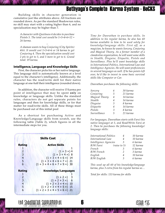<span id="page-6-0"></span>Building skills in character generation is cumulative just like attributes above. All fractions are rounded down. As per the standard Shadowrun rules, no skill may start with a rating higher than 6, and no specialization may be higher than 7.

*A character with Quickness 4 decides to purchase Pistols 5. The total cost would be 1+3+4+6+12 = 26 karma.*

*ñ*

*A shaman wants to buy Conjuring (City Spirits) 4(6). It would cost 1+3+4+6 or 14 karma to get Conjuring 4. Then the specialization would cost 2 pts to get to 5, and 3 more to get to 6. Grand total: 19 karma.*

## **Intelligence, Language and Knowledge Skills**

First, the character picks his or her native language. This language skill is automatically known at a level equal to the character's intelligence. Additionally, the character has the read/write skill for their native language at one-half their intelligence (rounded down).

In addition, the character will receive 15 karma per point of intelligence that may be spent **only** on knowledge or language skills. Unlike the standard rules, characters do not get separate points for languages and then for knowledge skills, or for that matter for read/write skills. All of these things must be purchased out of this initial pool

As a shortcut for purchasing Active and Knowledge/Language skills from scratch, use the following table (Table 2), which figures in all the intermediate steps for you.

|                                                                                  | <b>Skills Cost</b>                                                                                                                                                                  |
|----------------------------------------------------------------------------------|-------------------------------------------------------------------------------------------------------------------------------------------------------------------------------------|
| Rating<br>1<br>$\overline{2}$<br>$\begin{array}{c} 3 \\ 4 \end{array}$<br>5<br>6 | <b>Active Skills</b><br>$(1 + 3 = 4)$<br>$(1 + 3 + 4 =)$ 8<br>$(1 + 3 + 4 + 6 =)$ 14<br>$(1 + 3 + 4 + 6 + 7 =)$ 21<br>$(1 + 3 + 4 + 6 + 7 + 9 =)$ 30                                |
| Rating<br>$\overline{2}$<br>3<br>$\overline{4}$<br>5<br>6                        | <b>Knowledge/Languages</b><br>$\overline{\mathbf{3}}$<br>$(1 + 2 =)$<br>$(1 + 2 + 3 =) 6$<br>$(1 + 2 + 3 + 4 =) 10$<br>$(1 + 2 + 3 + 4 + 5 =) 15$<br>$(1 + 2 + 3 + 4 + 5 + 6 =)$ 21 |

*Time for Danrathan to purchase skills. In addition to his regular karma, he also has 60 karma available to him to be used solely for knowledge/language skills. First off, as a magician, he knows he wants Sorcery, Conjuring and Magical Theory. As a former member of a clandestine organization, he will want some skills in Stealth, Disguise, Etiquette, Pistols and Surveillance. Plus heíll want knowledge skills in International Politics, International Law and Intelligence Agencies. He will want proficiencies in several languages as well. If he has points left over, heíd like to invest in some basic survival skills like Computer or Car.*

*Danrathan purchases the following skills:*

| Sorcery        | 6 | 30 karma |
|----------------|---|----------|
| Conjuring      | 5 | 21 karma |
| Magical Theory | 4 | 14 karma |
| Stealth        | 4 | 14 karma |
| Disguise       | 3 | 8 karma  |
| Etiquette      | 4 | 14 karma |
| Pistols        | 3 | 8 karma  |
| Surveillance   | 5 | 21 karma |

*For languages, Danrathan starts with Farsi (his native language) at 5, and Read/Write Farsi at 2. Then he purchases the following knowledge/ language skills:*

| International Politics | 4              | 10 karma |
|------------------------|----------------|----------|
| International Law      | 4              | 10 karma |
| Intelligence Agencies  | 3              | 6 karma  |
| R/W Farsi              | (raise to 5)   | 12 karma |
| French                 | 3              | 6 karma  |
| R/W French             | $\mathcal{P}$  | 3 karma  |
| English                | $\overline{4}$ | 10 karma |
| R/W English            | 3              | 6 karma  |

*This used up all 60 of his knowledge/language karma, plus 3 extra from his regular karma so*...

*Total for skills: 133 karma for skills*

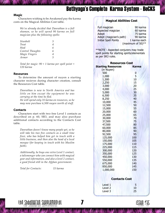## <span id="page-7-0"></span>**Magic**

Characters wishing to be Awakened pay the karma costs on the Magical Abilities Cost table.

*Weíve already decided that Danrathan is a full shaman, so he will spend 90 karma on full magician plus the following spells:*

| Stunbolt         | 5 |
|------------------|---|
| <b>Treat</b>     | 4 |
| Heal             | 6 |
| Control Thoughts | 6 |
| Magic Fingers    | 4 |
| Armor            | 5 |
|                  |   |

*Total for magic: 90 + 1 karma per spell point = 120 karma*

## **Resources**

To determine the amount of nuyen a starting character recieves during character creation, consult the Resources Cost table.

*Danrathan is new to North America and has little on him except the equipment he was carrying at the time he fled. He will spend only 35 karma on resources, so he may now purchase 6,500 nuyen worth of stuff.*

## **Contacts**

Characters start with two free Level 1 contacts as described on p. 60, SR3, and may also purchase additional contacts according to the Contacts Cost table.

*Danrathan doesnít know many people yet, so he will take his two free contacts as a small time fixer, who has helped him get in touch with a little business, and then also the head of a local mosque (for keeping in touch with his Muslim faith).*

*Additionally, he buys one extra Level 1 contact, a talismonger who can connect him with magical gear and information, and also a level 2 contact, a good friend still in the Afghan government.*

*Total for Contacts: 15 karma*

## **Magical Abilities Cost**

| Full magician               | 90 karma          |
|-----------------------------|-------------------|
| Aspected magician           | 60 karma          |
| Adept                       | 75 karma          |
| Adept (magician's path)     | 90 karma          |
| <b>Initial Spell Points</b> | 1 karma each      |
|                             | (maximum of 50)** |

\*\*NOTE - Aspected conjurers may trade spell points for starting spirits/elementals as per SR3 rules.

| <b>Resources Cost</b>     |              |  |
|---------------------------|--------------|--|
| <b>Starting Resources</b> | <b>Karma</b> |  |
| (in Nuyen)                |              |  |
| 500                       | 0            |  |
| 1,000                     | 5            |  |
| 1,500                     | 10           |  |
| 2,250                     | 15           |  |
| 3,000                     | 20           |  |
| 4,000                     | 25           |  |
| 5,000                     | 30           |  |
| 6,500                     | 35           |  |
| 8,250                     | 40           |  |
| 10,000                    | 45           |  |
| 12,500                    | 50           |  |
| 15,000                    | 55           |  |
| 20,000                    | 60           |  |
| 25,000                    | 65           |  |
| 30,000                    | 70           |  |
| 37,500                    | 75           |  |
| 47,500                    | 80           |  |
| 60,000                    | 85           |  |
| 80,000                    | 90           |  |
| 92,500                    | 95           |  |
| 125,000                   | 100          |  |
| 150,000                   | 105          |  |
| 175,000                   | 110          |  |
| 225,000                   | 115          |  |
| 300,000                   | 120          |  |
| 350,000                   | 125          |  |
| 450,000                   | 130          |  |
| 550,000                   | 135          |  |
| 675,000                   | 140          |  |
| 850,000                   | 145          |  |
| 1,000,000                 | 150          |  |
|                           |              |  |
| `ontacts Cost             |              |  |

## **Contacts Cost**

| 10 |
|----|
| 25 |
|    |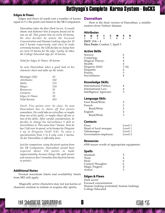## <span id="page-8-0"></span>**Edges & Flaws**

Edges and flaws (if used) cost a number of karma equal to 5 x the point cost listed in the SR Companion.

*Danrathan takes the flaw Dark Secret. It would shame and dishonor him if anyone found out he was an elf. This grants him an extra 10 karma. He also decides he wants the Focused Concentration and Human Looking edges for 10 and 5 karma respectively, and since he looks extremely human, the GM decides to charge him an extra 15 karma for the edge. Lastly, he takes the College Educated edge for 10 karma.*

*Total for Edges & Flaws: 30 karma*

*So now Danrathan takes a good look at his character sheet and adds up the totals.*

| Metatype (Elf): | 20  |
|-----------------|-----|
| Attributes:     | 102 |
| <i>Skills:</i>  | 133 |
| Magic:          | 120 |
| Resources:      | 35  |
| Contacts:       | 15  |
| Edges & Flaws:  | 30  |
| Total Karma:    | 455 |

*Ouch. Five points over. So close. So now Danrathan has to shave off five points somewhere. He could take an extra flaw, or maybe drop one of his spells, or maybe shave off one or two of his skills. After careful consideration, he decides to change his Surveillance 5 skill to Surveillance 4. This saves him 7 karma. Now he has 2 left over to spend, so he bumps his Disguise 3 up to Disguise (Self) 3(4). To raise a specialization from 3 to 4 only costs 2 karma. Ta-da! Danrathan is officially done.*

*Just for comparison, using the point system from the SR Companion, Danrathan would have required about 118 points to make (approximately, because things like spell points and resources donít translate directly from karma to points).*

## **Additional Notes**

Normal maximum limits and availability limits from SR3 still apply.

 Magically active characters may not use karma at character creation to initiate or acquire ally spirits.

## **Danrathan**

Here is the final version of Danrathan, a middleeastern elven Vulture shaman.

## **Attributes**

| S | O |                      |  | w                             | R |
|---|---|----------------------|--|-------------------------------|---|
| 3 |   |                      |  |                               |   |
|   |   | <b>INIT:</b> 1D6 + 4 |  |                               |   |
|   |   |                      |  | Dice Pools: Combat 7, Spell 5 |   |

## **Active Skills**

| Sorcery:        | 6    |
|-----------------|------|
|                 |      |
| Conjuring:      | 5    |
| Magical Theory: | 4    |
| Stealth:        | 4    |
| Disguise (Self) | 3(4) |
| Etiquette:      | 4    |
| Pistols:        | 3    |
| Surveillance:   |      |
|                 |      |

## **Knowledge Skills**

| International Politics: | 4 |
|-------------------------|---|
| International Law:      | 4 |
| Intelligence Agencies:  | 3 |

## **Language Skils**

| Farsi Read/Write | 5             |
|------------------|---------------|
| French           | 3             |
| Read/Write       |               |
| English          |               |
| Read/Write       | $\mathcal{R}$ |
|                  |               |

## **Contacts**

| Fixer:                | Level 1 |
|-----------------------|---------|
| Head of local mosque: | Level 1 |
| Talismonger:          | Level 1 |
| Government employee:  | Level 2 |
|                       |         |

## **Resources**

6500 nuyen worth of appropriate equipment.

## **Spells**

| Stunbolt:         | 5 |
|-------------------|---|
| Treat:            | 4 |
| Heal:             | 6 |
| Control Thoughts: | 6 |
| Magic Fingers:    | 4 |
| Armor:            | 5 |
|                   |   |

## **Edges & Flaws**

Dark secret Focused concentration Human looking (extremely human looking) College Educated



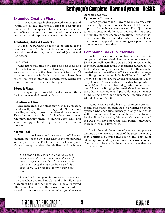## <span id="page-9-0"></span>**Extended Creation Phase**

If a GM is running a higher-powered campaign and would like to add additional karma to beef up the characters, then simply create the character as above with 450 karma, and then use the additional karma normally to build up the character from there.

## **Attributes, Skills, & Contacts**

All may be purchased exactly as described above in initial creation. Attributes & skills may now be raised beyond normal starting limits if desired (and at GM discretion).

#### **Resources**

Characters may trade in karma for resources at a rate of 2,500 nuyen per point of karma spent. The only exception to this is if the character spent less than 75 karma on resources in the initial creation phase, then he/she will not be allowed to spend more karma for resources in this extended creation phase.

#### **Edges & Flaws**

You may not purchase additional edges and flaws during the extended creation phase.

#### **Initiation & Allies**

Initiation grades and allies may now be purchased. Initiates will pay full cost for every grade. No discounts for allies, ordeals, or group membership are allowed. Those discounts are only available when the character role-plays through them (i.e. during game play) and so are not applicable during this extended creation process.

#### **Karma Pool**

You may buy karma pool dice for a cost of 2 karma. Humans may spend up to one-tenth of their total bonus karma (i.e. over the 450 basic cost) on karma pool. Metatypes may spend one-twentieth of the total bonus karma.

*Iím creating a Troll with 450 for initial creation and a bonus of 250 karma because itís a high power campaign. As a Troll, I can spend up to one-twentieth of that 250 on karma pool. So I could spend 12 points total to get 6 karma pool dice.*

This makes karma pool dice twice as expensive as they are when acquired in play and only allows the characters half of what they would have received otherwise. Thatís true. But karma pool should be earned, so therefore the reduction when you choose to start off powerful. **Cyberware/Bioware**

Some Cyberware and Bioware adjusts Karma costs - specifically, the mnemonic enhancer, but this could apply to other enhancements as well. The adjustments to karma costs made by such devices do not apply during any part of character creation, neither initial creation nor the extended creation phase. These bonuses only apply during actual game play if your group chooses to use them.

## **Comparing Becks To Priorities**

So how does a karma creation system like this compare to the standard character creation system in SR3? Very well, actually. Using BeCKS to recreate the archetype characters found in the main sourcebook, we find that with only two exceptions, all of them can be created for between 425 and 475 karma, with an average of 449-right on target with the BeCKS standard of 450. The two exceptions are the elven Face archetype, which only takes 418 karma (leaving extra for plenty of contacts) and the elven Street Mage which requires just over 500 karma. Bringing the Street Mage into line with the other characters would probably just be a matter of adjusting down her phenomenal resources from 400,000 to about 50,000.

Using karma as the basis of character creation means that characters from the old priorities or points systems who specialize intensely in only a few areas will cost more than characters with more low- to midlevel abilities. In practice, this means characters created in BeCKS will have more total skill points if they have more low- or mid-level skills.

But in the end, the ultimate benefit to my players and me was to take away much of the pressure to min/ max abilities, because there isnít any particular advantage to spending karma on one area over another. The costs will be exactly the same later on as they are during creation.

|<br>|Sula #15<br>|

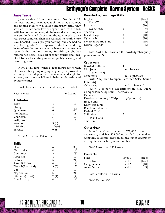## <span id="page-10-0"></span>**Jane Trade**

Jane is a dwarf from the streets of Seattle. At 17, the local mafioso wannabes took her in as a runner, and finding that she was skilled and trustworthy, they assisted her into some low-end cyber. Jane was thrilled. With her boosted reflexes, skillwires and smartlink, she was suddenly a real player, and thought herself to be a real street samurai. Then she realized the truth: entry level boosted 'flexes gets you nothing, and she had no way to upgrade. To compensate, she keeps adding levels of reaction enhancement whenever she can come up with the time and money. In addition, she has refashioned herself as a sort of cyber-courier and jackof-all-trades by adding in some quality sensing and recording ware.

Now, at 23, Jane wants bigger things for herself. She has left her group of gangbangers-gone-pro and is working as an independent. She is small and slight for a dwarf, and she specializes in being underestimated by her enemies.

Costs for each item are listed in square brackets.

| Race: Dwarf       |           | $[10 \text{ karmal}]$ |
|-------------------|-----------|-----------------------|
| <b>Attributes</b> |           |                       |
| Body              | 4         | $[14]$                |
| Strength          | 4         | [8]                   |
| Quickness         | 6         | [40]                  |
| Intelligence      | 4         | $[18]$                |
| Charisma          | 3         | [10]                  |
| Willpower         | 4         | $[14]$                |
| Reaction          | 5(8)      |                       |
| Initiative        | $2D6 + 8$ |                       |
| Essence           | 0.68      |                       |

#### Total Attributes: 104 karma

## **Skills**

| 6    | [30]   |
|------|--------|
| 4    | $[14]$ |
| 3    | [8]    |
| 4    | $[14]$ |
| 5    | $[21]$ |
| 4    | $[14]$ |
| 3(5) | $[12]$ |
| 4    | [14]   |
| 5    | $[21]$ |
| 2(4) | [7]    |
| 4    | [14]   |
|      |        |

## **Knowledge/Language Skills**

| English              | 5 | [free] |
|----------------------|---|--------|
| Read/Write           | 3 | [3]    |
| Japanese             | 4 | $[10]$ |
| Read/Write           | 3 | [6]    |
| Spanish              | 3 | [6]    |
| Local Gangs          | 4 | $[10]$ |
| Cybertech            | 4 | [10]   |
| Dwarven Sports Stars | 5 | $[15]$ |
| Urban Legends        | 3 | [6]    |
|                      |   |        |

Total Skills: 171 karma (60 Knowledge/Language points are free!)

## **Cyberware**

| <b>Boosted Reflexes</b>              | 1                                               |
|--------------------------------------|-------------------------------------------------|
| Chipjacks                            | (alphaware)                                     |
| [Quantity: 2]                        |                                                 |
| Cyberears                            | (all alphaware)                                 |
|                                      | [with Amplifier, Damper, Recorder, Select Sound |
| Filter $(4)$ ]                       |                                                 |
| Cybereyes                            | (all alphaware)                                 |
|                                      | [with Electronic Magnification (3), Flare       |
| Compensation, Opticam, Thermovision] |                                                 |
| Datajack                             |                                                 |
| Headware Memory 150Mp                | (alphaware)                                     |
| Image Link                           |                                                 |
| Knowsoft Link                        |                                                 |
| <b>Reaction Enhancer</b>             | 3                                               |
| Retinal Clock                        |                                                 |
| Skillwires                           | 3                                               |
| [Max $81Mp$ ]                        |                                                 |
| Smartlink                            |                                                 |

## **Other Gear**

Jane has already spent 572,000 nuyen on cyberware, and has 428,000 nuyen left to spend on weapons, skillsofts, electronics, and other equipment during the character generation phase.

Total Resources: 150 karma

## **Contacts**

| Fixer       | level 1 | [free] |
|-------------|---------|--------|
| Street Doc  | level 1 | [free] |
| Gang member | level 2 | [10]   |
| Arms Dealer | level 1 | [5]    |

Total Contacts: 15 karma

Total Karma: 450

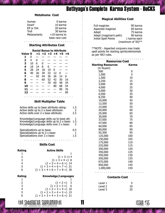| Human               | 0 karma        |
|---------------------|----------------|
| Dwarf               | 10 karma       |
| <b>Elf or Ork</b>   | 20 karma       |
| Troll               | 30 karma       |
| <b>Metavariants</b> | $+10$ karma to |
|                     | base race cost |

### ○○○○○○○○○○○○○○○ ○○○○○○○○  **Starting Attributes Cost**

| <b>Racial Bonus to Attribute</b> |    |                     |              |              |  |  |  |
|----------------------------------|----|---------------------|--------------|--------------|--|--|--|
| Value 0                          |    | $+1$ +2 +3 +4 +5 +6 |              |              |  |  |  |
|                                  | O  |                     |              |              |  |  |  |
| $\overline{\phantom{a}}$         | 4  | n                   |              |              |  |  |  |
| 3                                | 10 | 6.                  | $\mathbf{0}$ |              |  |  |  |
| 4                                | 18 | 14                  | Ջ            | $\mathbf{I}$ |  |  |  |

|  |  | 5 28 24 18 10 0 $ -$   |  |
|--|--|------------------------|--|
|  |  | 6 40 36 30 22 12 0 $-$ |  |
|  |  | $7 - 50$ 44 36 26 14 0 |  |
|  |  | $8 - - 60$ 52 42 30 16 |  |
|  |  | $9 - - - 70$ 60 48 34  |  |
|  |  | $10 - - - - 80$ 68 54  |  |
|  |  | $11 - - - - - - 90$ 76 |  |
|  |  | $12 - - - - - - - 00$  |  |
|  |  |                        |  |

## **Skill Multiplier Table** ○○○○○○○○○○○○○○○ ○○○○○○○○

| <b>Metahuma Cost</b>                                                                                                               |                                                                                      |                            |                                                                                 |                                 |                                                                                                 |                 |
|------------------------------------------------------------------------------------------------------------------------------------|--------------------------------------------------------------------------------------|----------------------------|---------------------------------------------------------------------------------|---------------------------------|-------------------------------------------------------------------------------------------------|-----------------|
| Human<br>Dwarf<br>Elf or Ork<br>Troll<br>Metavariants                                                                              |                                                                                      |                            | 0 karma<br>10 karma<br>20 karma<br>30 karma<br>$+10$ karma to<br>base race cost |                                 |                                                                                                 |                 |
|                                                                                                                                    | <b>Starting Attributes Cost</b>                                                      |                            |                                                                                 |                                 |                                                                                                 |                 |
| Value 0<br>1<br>0<br>$\overline{2}$<br>4<br>3<br>10<br>4                                                                           | <b>Racial Bonus to Attribute</b><br>$+1$ +2 +3 +4 +5 +6<br>0<br>6<br>0<br>18 14<br>8 | 0                          |                                                                                 |                                 |                                                                                                 |                 |
| 28<br>5<br>40<br>6<br>7<br>8<br>9<br>10<br>11                                                                                      | 24 18<br>30 <sub>o</sub><br>36<br>44<br>50<br>60<br>$\qquad \qquad$                  | 10<br>22<br>36<br>52<br>70 | 0<br>12 <sup>2</sup><br>26<br>42<br>60<br>80                                    | 0<br>14<br>30<br>48<br>68<br>90 | 0<br>16<br>34<br>54<br>76                                                                       |                 |
| 12                                                                                                                                 | 00<br><b>Skill Multiplier Table</b>                                                  |                            |                                                                                 |                                 |                                                                                                 |                 |
| Active skills up to base attribute rating:<br>Active skills up to 2 x base attribute:<br>Active skills over 2 x base attribute:    |                                                                                      |                            |                                                                                 |                                 |                                                                                                 | 1.5<br>2<br>2.5 |
| Knowledge/Language skills up to base att:<br>Knowledge/Language skills up to 2 x base:<br>Knowledge/Language skills over 2 x base: |                                                                                      |                            |                                                                                 |                                 |                                                                                                 | 1<br>1.5<br>2   |
| Specializations up to base:<br>Specializations up to 2 x base:<br>Specializations over 2 x base:                                   |                                                                                      |                            |                                                                                 |                                 |                                                                                                 | 0.5<br>1<br>1.5 |
|                                                                                                                                    | <b>Skills Cost</b>                                                                   |                            |                                                                                 |                                 |                                                                                                 |                 |
| ating<br>$\mathbf{1}$<br>23456                                                                                                     | $(1 + 3 + 4 + 6 + 7 + 9 =)$ 30                                                       |                            | <b>Active Skills</b>                                                            |                                 | 1<br>$(1 + 3 = 4)$<br>$(1 + 3 + 4 =)$ 8<br>$(1 + 3 + 4 + 6 =)$ 14<br>$(1 + 3 + 4 + 6 + 7 =)$ 21 |                 |
| ating                                                                                                                              |                                                                                      |                            |                                                                                 |                                 | Knowledge/Languages                                                                             |                 |
| $\mathbf{1}$<br>2<br>3<br>4<br>5<br>6                                                                                              | $(1 + 2 + 3 + 4 + 5 + 6 =)$ 21                                                       |                            |                                                                                 | $(1 + 2 =)$<br>$(1 + 2 + 3 =)$  | 1<br>3<br>-6<br>$(1 + 2 + 3 + 4 =) 10$<br>$(1 + 2 + 3 + 4 + 5 =)$ 15                            |                 |

## **Skills Cost**

| Rating        | <b>Active Skills</b>           |
|---------------|--------------------------------|
|               |                                |
| $\mathcal{L}$ | $(1 + 3 =) 4$                  |
| 3             | $(1 + 3 + 4 =)$ 8              |
| 4             | $(1 + 3 + 4 + 6 =)$ 14         |
| 5             | $(1 + 3 + 4 + 6 + 7 =)$ 21     |
| 6             | $(1 + 3 + 4 + 6 + 7 + 9 =)$ 30 |

| Rating | <b>Knowledge/Languages</b>     |
|--------|--------------------------------|
|        |                                |
| 2      | $(1 + 2 =) 3$                  |
| 3      | $(1 + 2 + 3 =) 6$              |
| 4      | $(1 + 2 + 3 + 4 =) 10$         |
| 5      | $(1 + 2 + 3 + 4 + 5 =) 15$     |
| 6      | $(1 + 2 + 3 + 4 + 5 + 6 =)$ 21 |

## **Magical Abilities Cost**

| Full magician               | 90 karma          |
|-----------------------------|-------------------|
| Aspected magician           | 60 karma          |
| Adept                       | 75 karma          |
| Adept (magician's path)     | 90 karma          |
| <b>Initial Spell Points</b> | 1 karma each      |
|                             | (maximum of 50)** |

\*\*NOTE - Aspected conjurers may trade spell points for starting spirits/elementals as per SR3 rules.

| <b>Resources Cost</b>     |              |  |  |
|---------------------------|--------------|--|--|
| <b>Starting Resources</b> | <b>Karma</b> |  |  |
| (in Nuyen)                |              |  |  |
| 500                       | 0            |  |  |
| 1,000                     | 5            |  |  |
| 1,500                     | 10           |  |  |
| 2,250                     | 15           |  |  |
| 3,000                     | 20           |  |  |
| 4,000                     | 25           |  |  |
| 5,000                     | 30           |  |  |
| 6,500                     | 35           |  |  |
| 8,250                     | 40           |  |  |
| 10,000                    | 45           |  |  |
| 12,500                    | 50           |  |  |
| 15,000                    | 55           |  |  |
| 20,000                    | 60           |  |  |
| 25,000                    | 65           |  |  |
| 30,000                    | 70           |  |  |
| 37,500                    | 75           |  |  |
| 47,500                    | 80           |  |  |
| 60,000                    | 85           |  |  |
| 80,000                    | 90           |  |  |
| 92,500                    | 95<br>100    |  |  |
| 125,000<br>150,000        | 105          |  |  |
| 175,000                   | 110          |  |  |
| 225,000                   | 115          |  |  |
| 300,000                   | 120          |  |  |
| 350,000                   | 125          |  |  |
| 450,000                   | 130          |  |  |
| 550,000                   | 135          |  |  |
| 675,000                   | 140          |  |  |
| 850,000                   | 145          |  |  |
| 1,000,000                 | 150          |  |  |
|                           |              |  |  |

## **Contacts Cost**

○○○○○○○○○○○○○○○ ○○○○○○○○

| Level 1 | 5  |
|---------|----|
| Level 2 | 10 |
| Level 3 | 25 |

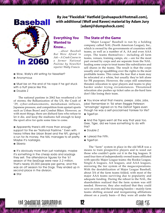<span id="page-12-0"></span>

**By Joe "Flexidisk" Hatfield [joshuapuck@hotmail.com], with additional (Wolf and Raven) material by Adam Jury [adamj@dumpshock.com]**

## **Everything You Wanted to**

## **Know...**

*...about Baseball But Were Afraid to*  $Ask-A$  Crash Course in *a former National Pastime by NewsNet reporter Wally Francis*

- Wow, Wally's still writing for NewsNet?
- **O** Anonymous

 $\bullet$  Must be on the end of his rope if he got stuck with a fluff piece like this.

**O** Double Z

The national pastime in 2062 has weathered a lot of storms; the Balkanization of the US, the Crash of í29, cyber-enhancements, metahuman influxes, Japanese pressure, and competition from upstart sports such as Urban Brawl and Combat Biker. However, as with most things, there are diehard fans who refuse to let it die, and keep the stadiums full enough to keep the sport alive for quite some time to come.

• Apparently there's still more than enough support for the ex-"National Pastime." Even with heavy hitters like Urban Brawl and the NFL giving it a run for its money, the NAL manages to sit pretty. Maybe it's nostalgia.

 $\circ$  Siberia

 $\bullet$  It's obviously more than just nostalgia; maybe it's something in the cheap soda and soydogs they sell. The attendance figures for the '61 season of the SeaDogs were near 3.2 million. That's nearly 20,000 people per game, and this was an off season for the Dogs. They ended up in second place in the division.

the Shadowrun Supplemental **12** 

Ö Star

## **The State of the Game**

 "Major League" Baseball is run by a holding company called NAL (North American League), Inc., which is owned by the governments of countries with teams, as well as a number of A, AA and even AAA  $corps.$  The teams themselves $-$  including all farm teams, venues, training camps, etc.—are for the most part owned by corps and are separate from the NAL. leading some corps to treat teams like subsidiaries and sell shares in the teams. The result is that the corps usually end up squabbling over the rights to the most profitable teams. This raises the fear that a team may be relocated at a whim, but usually they're left alone for PR purposes. However, the corps still sometimes threaten relocation to spur players and teams to play harder under trying circumstances. Threatened relocation also pushes up ticket sales as die-hard fans don't like losing their team.

 $\bullet$  You know what that means, peeps. Jobs, jobs, jobs! Remember in '56 when Reggie Peterson "amazingly" signed on to the Detroit Tigers even though he was a self-proclaimed Yankee for life?  $\odot$  TigerFan

• And the Tigers went all the way that year too. Gee, Tiger, did we have something to do with this?

- $\odot$  Double Z
- $\odot$  I plead the Fifth.
- $\odot$  TigerFan

The "farm" system in place in the old MLB was a means to train prospective players and to weed out those who couldn't quite cut it in the big leagues. It used four tiers of independently owned teams affiliated with specific Major League teams: the Rookie League, Single-A leagues, AA leagues, and AAA leagues, mirroring the tier system of the megacorporations. With the destabilization of Major League Baseball, about 3/4 of the farm teams folded, with most of the major AAA teams surviving due to popularity and adequate funding. During the reboot to the NAL, the shareholders realized that the farm system was still needed. However, they also realized that they could save on costs and the increasing hassles – mainly farm teams shifting around and reorganizing affiliations almost on a yearly basis-if they were all under the

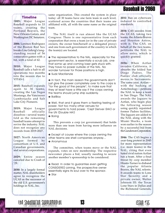## Baseball in 2060

## **Timeline**

<span id="page-13-0"></span>2**005:** Major League Baseball expands to 33 teams, creating the Portland Beavers, the New Orleans Gators, and Washington DC Senators.

**2006:** Lorenzo Rodriguez of the Boston Red Sox breaks Lou Gehrig's longstanding record of 56 consecutive games with a hit, with a total of 62.

**2010:** Major League Baseball calls a halt to all operations two months into the season due to VITAS-I.

**2015:** Baseball expands again to 36 teams, creating the Las Vegas Mustangs, the Vancouver Lumberjacks and Salt Lake City Pioneers.

**2019:** Major League Baseball officially dissolves - several teams fold as the remaining baseball teams attempt to revive the industry. NAL does not recognize any records from 2019-2027.

**2027:** North American League formed by consortium of U.S. and Canadian governments, and several corporations.

**2029:** Entire season canceled due to Crash of  $'29.$ 

**2030:** In a largely formal matter, NAL shareholders agree to recognize the UCAS as the successor of the old U.S. government's holdings in NAL, Inc.

same organization. This created the system in place today: all 30 teams have one farm team in each level, scattered across the countries that their teams are affiliated with, all with the same name as the original team.

The NAL itself is run almost like the UCAS Congress: There is one representative from each corporation that owns a team (or in the case of private owners, the owner him/herself or a delegated proxy) and one from each government of the country in which the team(s) are located.

• The representative to the NAL, especially for the government sector, is essentially a scrub job, one that some up and coming loser gets stuck with. They have no power outside of the NAL. No wonder turnover for those positions is high.  $\odot$  Sudz MacKenzie

• In fact, the main reason the governments don't just give the power completely over to the corps is "for the good of the people"; to make sure that they at least have a little say if the corps owning the teams should jump ship suddenly.

 $\odot$  BallBoy

Ö Well, that and it gives them a fleeting feeling of power. Not too many other venues for governments to hold power. 'Cept Denver (HA!) or the UN (Double HA!)

 $\odot$  Boing

This prevents a corp (or government) that holds more than one team from having more influence on NAL decisions.

 $\circ$  Except of course where the corps owning the other teams are shell companies anyway...  $\odot$  Anonymous

The committee, when teams move or the NAL expands, votes on new membership. The respective newcomer places a bid, usually needing to secure another member's sponsorship to be considered.

**•** Read: In order to guarantee even getting CONSIDERED joining, the prospective owner essentially signs its soul over to the sponsor.

 $\bullet$  Star

**2032**: Ban on cyberware reduced to controlled standards.

**2034:** CAS secedes from the UCAS, taking two teams, the Atlanta Braves and Houston Astros, with it. The CAS, on behalf of the two teams, petitions the NAL to allow entry, which is quickly granted.

**2036:** When Aztlan invades California, it absorbs the folded San Diego Padres. The Padres' club officially moves to Sacramento. The same year,  $Aztlan$ with the backing of Aztechnology-petitions the NAL to keep a team in San Diego. The NAL awards the Jaguars to Aztlan, who begin play the following season using quickly repainted former Padres facilities. The Jaguars are added to the NAL along with the Miami Sharks, a team won earlier in the season by a successful bid from the Gunderson Corporation.

**2046:** The CAS begins a year-long protest in 2045 for more representation (i.e. more teams) in the NAL, citing that even hated rival nation Aztlan has a team. After a final threat by corp member Hisato-Turner to disband the popular Atlanta Braves, the NAL relents. It awards teams to Lone Star Security and a private owner, Walter Johnson III: the Texas Lone Stars in Dallas and the Richmond Generals,

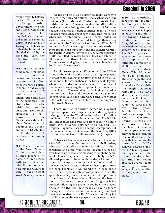## Baseball in 2060

respectively. To balance the two CAS teams and to bring another government into the NAL stockholders to balance the corp bloc, the NAL also accepts a bid from the Hemlad Cartel in Portland, Tir Tairngire. Telestrian Industries buys out the Hemlad Cartel by the time the team, the Portland Lords, is formed.

**2054:** In an attempt to bring more fresh blood into the NAL, the league holds an open session for the first three interested parties to submit a bid, causing a ruckus and mild A and AA corp war. Finally three bids float to the surface: Hilton Hotels for Nashville which becomes the Dragons, Kozlowski Holdings (a wellknown front for the New Orleans Mafia) for New Orleans which becomes the Gators, and one to UCAS Steel for Pittsburgh which revives the name Pirates.

**2059:** Michael Harrison of the New Orleans Gators breaks Robert Billings' record of 74 home runs in a season with 76, topping that with 80 the next year, helping the Gators to win back-to-back World Series pennants.

At the end of MLB's existence, there were two leagues (American and National) that each housed four divisions (East, Mideast, Central, and West). Each division had 4 or 5 teams, leaving the MLB with a headache in scheduling around the total of 36 teams housed in several different countries, many of which had deep misgivings about each other. This was solved when MLB destabilized. Several teams folded for various reasons: anti-Amerind feelings, their cities belonging to the NAN, or lack of funding. When MLB became the NAL, it was originally agreed upon to break the teams into just three divisions, the Eastern, Central, and Pacific Divisions. However, after several expansion drafts that filled the roster from 21 to 24 and later 27 to 30 teams, the three Divisions were renamed Conferences, and given two divisions, North and South, with 5 teams each.

Regular season play is 162 games, with an All-Star Game in the middle of the season, pairing off players in UCAS teams against those from the rest in the NAL. At the end of the season there is the Divisional Playoffs, where the two division leaders square off in 'best of five' games to see who gets to represent their conference in the playoffs. The team that has the highest record of the three gets a bye, and the remaining two play in a 'best of seven' called the Wild Card Series. The winner of the Wild Card moves on to face the remaining team in the World Series.

There are also exhibition games held against Imperial Japanís best players, usually during spring training or after the World Series and also including the bi-annual World All-Star competition. The NAL is still under increasing pressure from Japan to hold a truly 'World' Series between the NAL and IJBL (Imperial Japanese Baseball League) champions, but the major sticking point between the two is the IJBLís bristling against kawaruhito (metahuman) players.

Cyberware has become a major factor in the game. After 2032 it came under pressure by baseball purists, who saw baseball as a true example of athletic excellence and didn't want to see the game ruined by over-loaded cybermonsters crashing through the game, similar to what happened to football. Initially, the NAL allowed players to have mods in the AAA and pro league teams up to a certain level, and none at all in the levels below. Recently, there has been a push from the corp block of NAL members to ease these restrictions, especially those companies who see the sports teams they own as another perfect opportunity to field test their latest mods. However, the ban on mods in the lower leagues is in no danger of being affected, allowing the teams to see how the players operate for the first few years of their careers unchipped. This also means that an already modified player cannot drop below the AAA level; once they fall in ability below the AAA players, their career is over.

**2060:** The rebuilding corporation Truman Technologies petitions the NAL for an expansion team in hopes of boosting morale in the former Chicago Containment Zone. Ares, although carrying the weight of two teams already, backs Truman. The NAL agrees and sparks another threeteam expansion that turns into a recreation of MLB history, first restoring the historic Chicago Cubs, nicknamed the "Bugs" by its fans. The Cubs begin the 2061 season in New Comiskey Park while the Wrigley Dome is renovated. The NAL also finally awards a team, the Rockies, to Denver, which had submitted several bids over the years. Tablelands, a highprofile tech corp in the Pueblo Corporate Council, enters a bid and is awarded a team for Phoenix in a move that surprises many. They name the team the Diamondbacks, after the team that was originally there before MLB's collapse. Because of this, the NAL reorganizes their system, since the three divisions had contained ten teams apiece. Several teams are jogged around geographically, ending in the system now in place.

the Shadowrun Supplemental **14**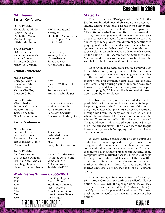## Baseball in 2060

## <span id="page-15-0"></span>**NAL Teams Eastern Conference**

## **North Division**

Philadelphia Phillies KFK International Boston Red Sox Novatech Montreal Expos Cross Applied Tech Pittsburgh Pirates **UCAS** Steel

## **South Division**<br>**FDC** Senators

FDC Senators Saeder-Krupp<br>Richmond Generals Walter Johnso Atlanta Brayes Hisato-Turner Baltimore Orioles Shiawase East Nashville Dragons Hilton Hotels, Inc.

## **Central Conference**

## **North Division**

Cincinnati Whites Detroit Tigers Ares Kansas City Royals Renraku America

## **South Division**

St. Louis Cardinals<br>
Houston Astros<br>
Texas Instrument Texas Lone Stars Lone Star Security

## **Pacific Conference**

## **North Division**

Portland Lords<br>
Seattle Mariners<br>
Federated Sacramento Padres Kalamari, Inc San Francisco Giants MCT

## **South Division**

California Angels Virtual World-Disney Los Angeles Dodgers Affiliated Artists, Inc San Francisco Whales Yamatetsu CFS San Diego Jaguars Aztechnology Phoenix Diamondbacks Tablelands/PCC

## **World Series Winners: 2055-2061**

| 2055                       | San Diego Jaguars  |  |
|----------------------------|--------------------|--|
| 2056                       | Detroit Tigers     |  |
| 2057                       | Manhattan Yankees  |  |
| 2058                       | FDC Senators       |  |
| 2059                       | New Orleans Gators |  |
| 2060                       | New Orleans Gators |  |
| 2061                       | LA Dodgers         |  |
| the Shadowrun supplemental |                    |  |

Manhattan Yankees Manhattan Yankees, Inc

Walter Johnson III

Chicago White Sox Ares<br>Cincinnati Whites Richard Wallanowski Chicago Cubs Truman Technologies

New Orleans Gators Kozlowski Holdings Corp

Federated Boeing Denver Rockies Casquihlo Corporation

|<br>|Sula #15<br>|

## **Statsofts**

The short story "Designated Hitter" in the Shadowrun braided novel **Wolf And Raven** presents a slightly alternate version of baseball in the Sixth World. In this interpretation, the Hall of Fame produces "Statsofts" - baseball Activesofts with a personality overlay–for each player, and the teams bid each year on the services of players from a particular year. This allows legendary players from different generations to play against each other, and allows players to play against themselves. What baseball fan wouldn't want to see Nolan Ryan pitch to Babe Ruth, or watch a rookie by the name of Hank Aaron batting against the 1957 MVP outfielder Hank Aaron; can Hank hit it over the wall before Hank can snag it out of the air?

Not only do these Activesofts provide a player with the abilities and playing nuances of the particular player, but the persona overlay also gives them other attributes of that player-vocal inflections, mannerisms, and common habits. Most players only use Statsoft chips during a game, but some have been known to try and live the life of a player from past eras, chipping 24/7. This practice is somewhat looked down upon by other players.

It is true that this practice has added a level of predictability to the game, but two elements help to keep fans guessing. The first is the nature of the human body—no matter what (or who) a player has coursing through his brain, the body can only go so far, and when it breaks down it throws all predictions out the window. The other unpredictability element is so-called "Legacy Players," which are players using a Statsoft of an undisclosed player-the player, team and league know which persona he's chipping, but the other teams and fans do not.

In game terms, official Hall of Fame approved Statsofts are near impossible to  $get-only a few$ designated staff members for each team are allowed contact with them, and in-between seasons all of them are returned to the Hall of Fame for safe-keeping. Some companies have marketed baseball themed skillchips to the general public, but because of the near-BTL qualities of Statsofts, no legitimate company will market anything with those features. Some blackmarket Statsofts do exist, but they are of dubious quality.

In game terms, a Statsoft is a Personafix BTL (p. 66, **Cannon Companion**) with the Skillsoft Cluster option (p. 60, CC), with the appropriate skills. You may also elect to use the Partial Peak Controls option (p. 68, CC) to reduce the potential for addiction. Of course, black-market Statsofts may have any number of other options.

Miami Sharks Gunderson Corporation Texas Instruments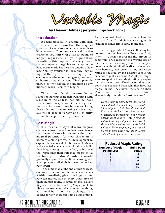Jarrable

## **by Eleanor Holmes [ jestyr@dumpshock.com ]**

## <span id="page-16-0"></span>**Introduction**

It seems unusual in a world with such variety as Shadowrun that the magical potential of every Awakened character is so homogeneous. If you are a magically active character, you start with a flat six points of magic, regardless of your potential. Essentially this implies that every mage, shaman, aspected magician and adept in the Shadowrun world has the same amount of raw magic ability available to them once they've tapped their power. It's like saying that everyone has the same intelligence, is equally stubborn or equally strong. That's patently untrue, so why should the situation be any different when it comes to Magic?

The current rules do not provide any scope for starting characters beginning with a Magic rating of less than six (without Essence loss from cyberware) $-$  or even greater than six, for more powerful games. Using these rules for variable starting Magic ratings allows for greater variety and flexibility within the scope of starting characters.

## **Less Magic**

It is feasible to say that many magical characters do not come into their power in one rush. After discovering or unlocking their magical potential, for most characters it becomes a slow process of development to expand their magical abilities as well. Mages and aspected magicians would slowly build their Magic rating up to the final, stable level that represents their full magical potential (excluding Initiations). Adepts would gradually expand their abilities, learning new adept powers until all their power points had been spent.

To assume that, at the end of this process, everyone comes out on the same level seems a trifle unrealistic, given the huge variety between individuals in every other area of (meta)human ability. To represent this, players may sacrifice initial starting Magic points to play a weaker magical character, receiving additional build points in exchange. This applies for any character with a Magic rating.

the Shadowrun Supplemental **The Shadowrun Supplemental** 

As by standard Shadowrun rules, a character who sacrifices all of their Magic rating in this fashion becomes irrevocably mundane.

Sacrificing points of Magic in this way has no effect on the character's Essence or Body Index. It doesn't represent the effects of cyberware, drug addiction or anything else on the character; they simply have less magical potential without Initiation. (If a character also has cyberware, their lower-than-normal Magic rating is reduced by the Essence cost of the cyberware just as normal.) A player might want to explain a lower Magic rating by saying their character took a Deadly wound at some point in the past and that's why they have less Magic, or that they never focused on their Magic and their power atrophied; alternatively, it might be "just because."

> *Dave is playing Rock, a beginning earth elementalist. Aspected magicians cost 25 build points, but Dave decides that Rock was hit by a car when he was nineteen and the resultant injuries that nearly killed him (a Deadly wound) reduced his magical power. The loss of the two Magic points returns six build points to Dave, so playing an aspected magician with a Magic rating of 4 costs only 19 build points instead of 25.*

| <b>Reduced Magic Rating</b>                  |                                    |  |  |
|----------------------------------------------|------------------------------------|--|--|
| <b>Number of Magic</b><br><b>Points Lost</b> | <b>Build Point</b><br><b>Bonus</b> |  |  |
|                                              |                                    |  |  |
| $\overline{\phantom{0}}$                     | 6                                  |  |  |
| 3                                            | 9                                  |  |  |
|                                              | 12                                 |  |  |
| 5                                            | 15                                 |  |  |

|<br>|Sula #15<br>|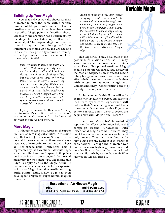## Variable Magic

|<br>|Sula #15<br>|

## <span id="page-17-0"></span>**Building Up Your Magic**

Note that a player may also choose for their character to start the game with a certain number of Magic points unspent. This is possible whether or not the player has chosen to sacrifice Magic points as described above. Effectively, the character has a certain ability for Magic, but hasn't developed all of their potential yet. The unspent Magic points can be spent in play just like points gained from Initiation; depending on how the GM chooses to play this, they generally require no training to develop—only a reason to use more of the character's potential.

> *Jane is playing Whisper, an adept. She decides that Whisper only has a maximum Magic rating of 5 (and gets three extra build points for the sacrifice) but has only spent three of her five Power Points as sheís still learning about her power. In play, Whisper can develop another two Power Pointsí worth of abilities before needing to initiate; the powers may be learnt from watching another adept, or could spontaneously blossom if Whisperís in a stressful situation.*

Playing a scenario like this doesn't really require rules; it's an option to add extra 'flavor' to a beginning character and can be discussed between the player and the GM.

## **More Magic**

Although Magic 6 may represent the upper limit of standard magical abilities, in the same way that 6 in Quickness or Strength is the normal human maximum, there are always instances of extraordinary individuals whose abilities exceed usual limitations. This is represented by the Exceptional Attribute Edge, which permits characters to spend build points on increasing attributes beyond the normal maximum for their metatype. Expanding this Edge to apply also to the Magic Attribute becomes unbalancing, as it is too inexpensive to increase Magic like other Attributes using build points. Thus, a new Edge has been developed to represent supra-normal magical characters.

the Shadowrun Supplemental

*Adam is running a rare high power campaign, and Chris wants to experiment with an older magic user mentoring some of the younger magic users in the campaign. Adam allows the character to have a magic rating up to 8 but no higher. Chrisí mage with a Magic rating of 8 will cost 46 build points - 30 to become a mage, and an additional 16 for two levels in the Exceptional Attribute: Magic edge.*

This Edge should only be allowed at the gamemaster's discretion, as it may significantly alter the power level within a game. Use of Exceptional Attribute: Magic should be monitored particularly closely in the case of adepts, as an increased Magic rating brings more Power Points and thus affects their power much more directly than with mages or aspected magicians. Gamemasters may wish to restrict access to this edge to non-player characters.

A character with this Edge still only begins with six Essence, before any Essence loss from cyberware. Cyberware still reduces their Magic rating as normal too; a character with one level of this Edge who gets two Essence points' worth of cyberware begins play with Magic 5 and Essence 4.

Exceptional Magic isn't intended to replicate the effects of Initation before the campaign begins. Characters with Exceptional Magic are not Initiates; they don't have access to metamagic or Initiateonly powers. They just have abnormally high Magic, for any number of in-character explanations. Perhaps the character was born in an area of high magic, was conceived on a ley line, or their mother cast a lot of spells while the baby was in the womb. Who knows? It's Magic, after all.

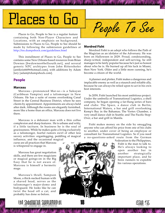# <span id="page-18-0"></span>Places to Go

Places to Go, People to See is a regular feature containing both Non-Player Characters and Locations, with an emphasis on background. Submissions to Places to Go, People to See should be made by following the submission guidelines at <http://tss.dumpshock.com/guidelines.html>

This installment of Places to Go, People to See contains some New Orleans based resources from Brian Downes [bwdownes@bellsouth.net], and several generic NPC archtypes from John Rittershofer [antikrist669@hotmail.com], with additions by Adam Jury [adamj@dumpshock.com].

## **People**

## **Marceau**

Marceau-pronounced Mar-so-is a Sukuyan (Caribbean Vampire) and a talismonger in New Orleans. He has a suite of rooms overlooking Canal Street in the Central Business District, where he sees clients by appointment. Appointments are always held after dark. Although the rooms are elegantly furnished, more like a home than an office, Marceau does not live there.

Marceau is a debonair man with a thin coffee complexion and sharp features. He is urbane and witty, if a little taciturn. In business he is the soul of graciousness. While he makes quite a living exclusively as a talismonger, fearful rumors swirl of other less savory activities: organlegging, peddling of magical influence, and the occasional magical

curse are all practices that Marceau is whispered to engage in.

Marceau has great negotiation skills, and there are few magicians or magical goings-on in the Big Easy that he is not aware of. Marceau is himself a hermetic mage.

Marceauís thrall, Sampson Moon, a thick-necked human with a shaved head, serves as the talismonger ís major-domo and bodyguard. He looks like he can twist the head off a cat, and probably has done so before.

People To See

## **Mordred Fisht**

Mordred Fisht is an adept who follows the Path of the Magician as an idolator of the Adversary. He was born on Halloween in 2029. Proud, condescending, sharp-witted, independent and self-serving, he still manages to be fairly popular because he's just so honest about who he is. He burned up all his luck in Miami, then New York. Older and a little more cunning, he's become a citizen of the world.

A planner and plotter, Fisht makes a dangerous and implacable enemy as well as a staunch and reliable ally, because he can always be relied upon to act in his own best interests.

In 2059, Fisht launched his most ambitious project. Under the umbrella of Transnational Logistics, a shell company, he began opening a far-flung series of bars and clubs: The Space, a dance club in Berlin; International Waters, a bar and grill overlooking Kempís Bay in the Bahamas; The Vortex Chamber, a very small dance club in Seattle; and The Pacific Stop-Over, a bar and grill in Manila.

Fisht makes money on the side by smuggling anyone who can afford his price from one of his clubs to another, under cover of being an employee or consultant for Transnational Logistics. So if you need a no-questions-asked route from the German

> Federation to the Philippines, Fisht is the man to talk to. Heís always looking to open another bar in another strategically important place, and he hires runners to expedite his various operations.



|<br>|Sula #15<br>|

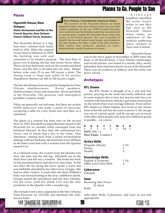## Places to Go, People to See

## <span id="page-19-0"></span>**Places**

## **Hyacinth House, New Orleans Hotel, Restaurant and Bar in the French Quarter, New Orleans**

The Hyacinth House is a big, four-story colonial-style house built in 1910. When the original owner died of influenza in 1918, the building was sold and

**Owner: Gilbert Ferris, [human]**

converted to its modern purpose. The first floor is given over to dining, the bar, and owner Ferris' office. There are four bedrooms each on the second and third floors, and the attic is divided into two lofts. Dinner before wine costs 25 to one 100 nuyen a plate. The dining room is large and softly lit by electric chandeliers. Rooms run 200 to 350 nuyen a night.

The bar and dining room are popular hangouts for New Orleans shadowsceners. Krewe members, shadowrunners, fixers and musicians all eat and drink at the Hyacinth. The gracious club atmosphere prohibits violence inside.

Police are generally not welcome, but there are certain NOPS detectives who make a point of raucously occupying a table for a few hours now and then, as a statement.

The ghost of a woman has been seen on the second floor. In 1923, Elizabeth Georgia Sherman stayed at the Hyacinth for six months while estranged from her husband Edward. In that time she maintained two lovers, one of whom had a key to her room. One afternoon, coming back from a failed reconciliation attempt with her husband, she found her lover William in the hotel room bed with a woman from the Quarter named Cire.

In a confused scene, the woman from the Quarter was shot; she later lost her left leg. Elizabeth ran to the third floor and fell out a window. She broke her back on the pavement below and died two days later. In the two days she lay dying she never spoke a word, but was faithfully attended by her other lover, Giorgio. She had no other visitors. A week after she died, Williamís body was found floating in the river, stabbed to death. Giorgio joined the priesthood and left New Orleans. For ten years, until her death, Cire was the only prostitute in the Quarter with a wooden leg.

The included news story appeared in the New Orleans Time-Picayune on 12/12/60, and mentions the wellknown hotel.



**New Orleans, Confederated American States:** The mystery of the Hyacinth House car bomb deepened today, when New Orleans Police Services held a press conference on the case. NOPS revealed that they were unable to trace the Daimler sedan that was destroyed so spectacularly outside the Hyacinth House hotel and eatery, in the French Quarter. Nor was it possible to identify the two ork bodies found inside, one a female in her late twenties, the other a male in his early twenties. Both bodies had moderate amounts of cyberenhancements, mostly headware in nature.

Although neighbors identified the exotic luxury sedan as one they had seen at the Hyacinth House many times, no employee of the popular gathering place claimed to have seen it before.

Hyacinth House

was in the news again in November of 2059 when the body of elf Harold Kites, a New Orleans talismonger and occult scholar, was found in a nearby alley, nearly beheaded. Kites had been known to eat at the Hyacinth. There was no evidence of robbery, and the crime was never solved.

## **Archetypes**

## **BTL Dealer**

The BTL Dealer is thought of as a sick and low person, preying on the weak and easily addicted, and in some respects this is true, but anyone who has ever worked with him knows that he's got more connections on the streets than your average Johnson. From fellow BTL dealers to Mafia hitmen, he's lived on the streets most of his life and has the scars to prove it. He can get you out of a pinch quick, and he can get you in touch with other street people who may have different goods to peddle... for a price.

**B Q S C I WE R** 3 3 2 4 3 2 5.8 2 **INIT:** 1D6 + 2 **Dice Pools:** Combat 2

## **Active Skills**

| Etiquette (Street): | 3(5) |
|---------------------|------|
| Pistols:            |      |
| Stealth:            |      |

## **Knowledge Skills**

| English (Cityspeak):    | 2(4) |
|-------------------------|------|
| Other Local Area Skill: | 4    |

## **Cyberware**

Datajack

## **Gear**

Browning Max Power [2 clips] Knife

Add other Skills, Cyberware, and Gear as you feel appropriate.

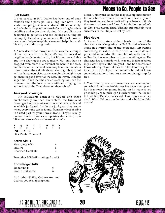## Places to Go, People to See

## <span id="page-20-0"></span>**Plot Hooks**

1. This particular BTL Dealer has been one of your contacts and a party pal for a long time now. He's started sampling the merchandise a little more lately, and sales have dropped because heís spending less time peddling and more time slotting. His suppliers are beginning to get antsy and are looking at cutting off his supply. He's done you favours in the past, now he needs your help-keep him clean and help him work his way out of the drug trade.

2. A new dealer has moved into the area that a couple of the runners live in. Now, it's not the nicest of neighborhoods to start with, but it's yours-and this guy isn't sharing the space nicely. Not only has he dragged even more of a criminal element to the area, but that criminal element is forcing Lone Star to take a closer look at the neighborhood. Getting this guy out will let the runners sleep easier at night, and might even get them in good favor at the Star. However, it might anger the Triads that the dealer is selling for... can the runners clean the local streets without bringing the authorities or the Triad down on themselves?

### **Junkyard Scrounger**

An invaluable contact to riggers and other mechanically inclined characters, the Junkyard Scrounger has the latest scoop on what's available and at which junkyard. Inside the junkyard they know where everything can be found, from a few feet of cable to a used part for your newest drone. They're usually no slouch when it comes to repairing stuff either, from bikes and cars to basic construction tasks.

| в | o |                             |  |  |  |
|---|---|-----------------------------|--|--|--|
| 2 |   |                             |  |  |  |
|   |   | INIT: $1D6 + 3$             |  |  |  |
|   |   | <b>Dice Pools:</b> Combat 3 |  |  |  |

## **Active Skills**

| Electronics B/R: |   |
|------------------|---|
| Stealth:         | 4 |
| Unarmed Combat:  |   |

Two other B/R Skills, ratings 2 and 3.

### **Knowledge Skills**

| Scrounging:        |  |
|--------------------|--|
| Seattle Junkyards: |  |

Add other Skills, Cyberware, and Gear as you feel appropriate.

Note: A Junkyard Scrounger may give up information for very little, such as a free meal or a few nuyen, if they trust you and have dealt with you before. If this is the case, use the normal formula for finding cost of info (p. 254, Shadowrun Third Edition) but multiply your successes in the Etiquette test by two.

## **Plot Hooks**

1. An unfortunate accident leads to one of the character's vehicles getting totalled. Forced to leave the scene in a hurry, one of the characters left behind something of value–a chip with valuable data, a personal memento, the matchbook with the hot redhead's phone number on it, or something else. The character has to hunt down his car and that item before it gets destroyed at the junkyard—and he doesn't even know which junkyard it may be. The character gets in touch with a Junkyard Scrounger who might know some information... but he's sure not giving it up for free.

2. Your friendly local scrounger has been coming into some heat lately—twice his doss has been shot up and heís been forced to go into hiding. At his request you go to his place to pick up a bunch of stuff that he left behind, but it's been ransacked. Three days later, he's dead. What did he stumble into, and who killed him over it?



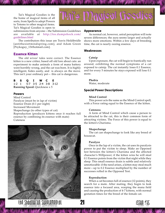<span id="page-21-0"></span>Taiís Magical Goodies is the the home of magical items of all sorts, from Spells to adept Powers to Totems to other magical items. Taiís Magical Goodies is open to

submissions from anyone - the Submission Guidelines are available at [http://tss.dumpshock.com/](http://tss.dumpshock.com/guidelines.html) [guidelines.html](http://tss.dumpshock.com/guidelines.html)

The contributors this issue are Travis Heldibridle [antithesis@mindspring.com], and Adam Green [Psykoguy\_13@hotmail.com].

## **Essence Kitten**

The old wives' tales were correct. The Essence kitten is a new critter, based off old lore about cats: an experiment to make animals a form of mana battery went horribly wrong, and the cat was born. It is highly intelligent, hides easily, and is always on the move. This isn't your ordinary pet $-$  this cat is dangerous.

**B S Q I WC E** 1-2 1 5-7 3-5 2-4 3-8 3-12 **Running Speed:** Quickness x 5

## **Powers**

Mind Control Paralyze (must be in lap of victim) Essence Drain (0.1 per night) Increased Movement Shapechange (to other types of cat) Reproduction (produces kittens once it reaches full essence by combining its essence with mate) Cuteness



# Thi's Mayieal Goodies

## **Appearance**

As normal cat, however, astral perception will note severe differences; the aura seems larger and actually shows more emotions. Within a few days of breeding time, the cat is nearly oozing essence.

## **Weaknesses**

### **Catnip**

Upon exposure, the cat will begin to frantically run around, exhibiting the normal symptoms of a cat exposed to catnip. The cat instantly loses 0.1 Essence, and for every 5 minutes he stays exposed will lose 0.1 more.

## **Phobia**

Water, moderate

## **Special Power Descriptions**

#### **Mind Control**

This power acts the same as the Mind Control spell, with a Force rating equal to the Essence of the kitten.

#### **Cuteness**

A form of Mind Control which cause a person to be attracted to the cat, this is their common form of attracting victims. The Force of this power is equal to the kitten's Charisma.

## **Shapechange**

The cat can shapechange to look like any breed of housecat.

## **Paralyze**

Once in the lap of a victim, the cat uses its paralysis power to put the victim to sleep. Make an Opposed test between the kitten's Charisma and the affected character's Willpower; if the kitten wins he will steal 0.1 Essence points from the victim that night while they sleep. This small essence drain is subtle and relatively unnoticeable: if the need arises, a kitten may steal much more  $-\mu p$  to 0.2 Essence multiplied by the number of successes rolled in the Opposed Test.

#### **Reproduction**

When a cat becomes full of essence (12 points), they search for a mate. After mating, they begin to leak essence into a focused area, warping the mana field and causing the production of 4-7 kittens, with normal gestation times for the breed of the female cat.